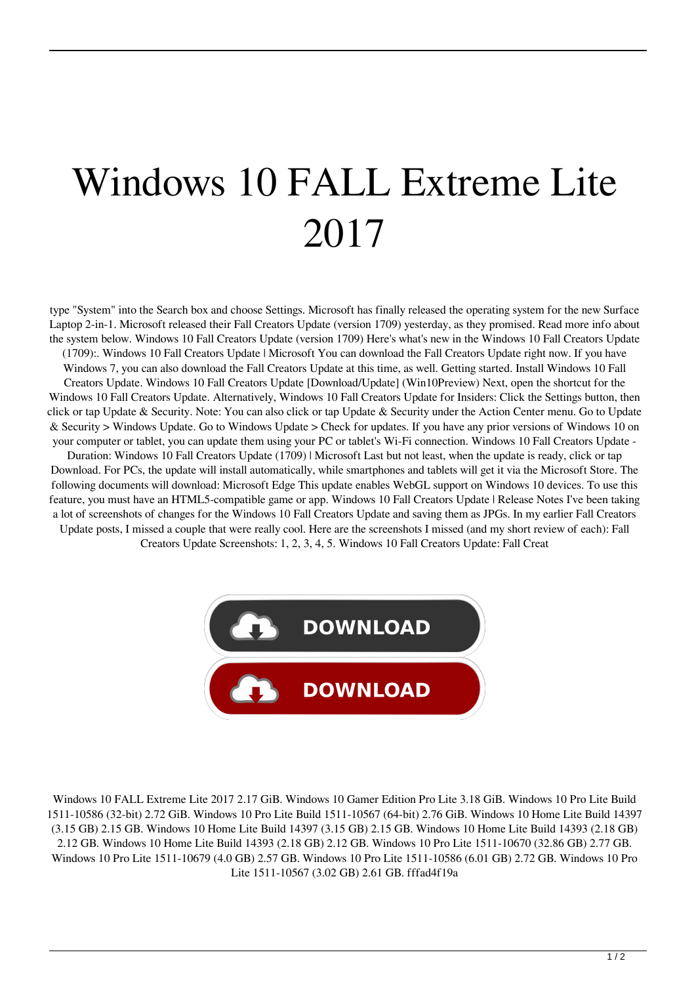## Windows 10 FALL Extreme Lite 2017

type "System" into the Search box and choose Settings. Microsoft has finally released the operating system for the new Surface Laptop 2-in-1. Microsoft released their Fall Creators Update (version 1709) yesterday, as they promised. Read more info about the system below. Windows 10 Fall Creators Update (version 1709) Here's what's new in the Windows 10 Fall Creators Update (1709):. Windows 10 Fall Creators Update | Microsoft You can download the Fall Creators Update right now. If you have Windows 7, you can also download the Fall Creators Update at this time, as well. Getting started. Install Windows 10 Fall Creators Update. Windows 10 Fall Creators Update [Download/Update] (Win10Preview) Next, open the shortcut for the Windows 10 Fall Creators Update. Alternatively, Windows 10 Fall Creators Update for Insiders: Click the Settings button, then click or tap Update & Security. Note: You can also click or tap Update & Security under the Action Center menu. Go to Update & Security > Windows Update. Go to Windows Update > Check for updates. If you have any prior versions of Windows 10 on your computer or tablet, you can update them using your PC or tablet's Wi-Fi connection. Windows 10 Fall Creators Update -

Duration: Windows 10 Fall Creators Update (1709) | Microsoft Last but not least, when the update is ready, click or tap Download. For PCs, the update will install automatically, while smartphones and tablets will get it via the Microsoft Store. The following documents will download: Microsoft Edge This update enables WebGL support on Windows 10 devices. To use this feature, you must have an HTML5-compatible game or app. Windows 10 Fall Creators Update | Release Notes I've been taking a lot of screenshots of changes for the Windows 10 Fall Creators Update and saving them as JPGs. In my earlier Fall Creators Update posts, I missed a couple that were really cool. Here are the screenshots I missed (and my short review of each): Fall

Creators Update Screenshots: 1, 2, 3, 4, 5. Windows 10 Fall Creators Update: Fall Creat



Windows 10 FALL Extreme Lite 2017 2.17 GiB. Windows 10 Gamer Edition Pro Lite 3.18 GiB. Windows 10 Pro Lite Build 1511-10586 (32-bit) 2.72 GiB. Windows 10 Pro Lite Build 1511-10567 (64-bit) 2.76 GiB. Windows 10 Home Lite Build 14397 (3.15 GB) 2.15 GB. Windows 10 Home Lite Build 14397 (3.15 GB) 2.15 GB. Windows 10 Home Lite Build 14393 (2.18 GB) 2.12 GB. Windows 10 Home Lite Build 14393 (2.18 GB) 2.12 GB. Windows 10 Pro Lite 1511-10670 (32.86 GB) 2.77 GB. Windows 10 Pro Lite 1511-10679 (4.0 GB) 2.57 GB. Windows 10 Pro Lite 1511-10586 (6.01 GB) 2.72 GB. Windows 10 Pro Lite 1511-10567 (3.02 GB) 2.61 GB. fffad4f19a